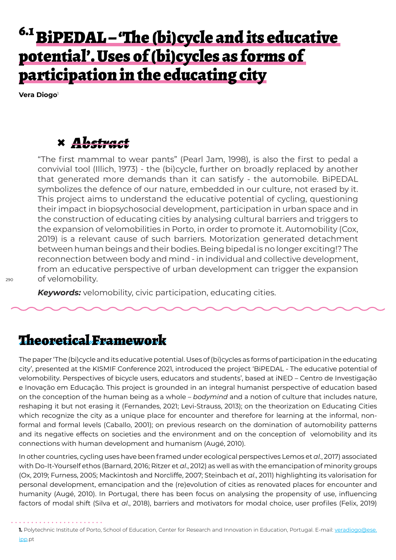# 6.1 BiPEDAL – 'The (bi)cycle and its educative potential'. Uses of (bi)cycles as forms of participation in the educating city

**Vera Diogo**<sup>1</sup>

## **×** *Abstract*

"The first mammal to wear pants" (Pearl Jam, 1998), is also the first to pedal a convivial tool (Illich, 1973) - the (bi)cycle, further on broadly replaced by another that generated more demands than it can satisfy - the automobile. BiPEDAL symbolizes the defence of our nature, embedded in our culture, not erased by it. This project aims to understand the educative potential of cycling, questioning their impact in biopsychosocial development, participation in urban space and in the construction of educating cities by analysing cultural barriers and triggers to the expansion of velomobilities in Porto, in order to promote it. Automobility (Cox, 2019) is a relevant cause of such barriers. Motorization generated detachment between human beings and their bodies. Being bipedal is no longer exciting!? The reconnection between body and mind - in individual and collective development, from an educative perspective of urban development can trigger the expansion of velomobility.

*Keywords:* velomobility, civic participation, educating cities.

### Theoretical Framework

The paper 'The (bi)cycle and its educative potential. Uses of (bi)cycles as forms of participation in the educating city', presented at the KISMIF Conference 2021, introduced the project 'BiPEDAL - The educative potential of velomobility. Perspectives of bicycle users, educators and students', based at iNED – Centro de Investigação e Inovação em Educação. This project is grounded in an integral humanist perspective of education based on the conception of the human being as a whole – *bodymind* and a notion of culture that includes nature, reshaping it but not erasing it (Fernandes, 2021; Levi-Strauss, 2013); on the theorization on Educating Cities which recognize the city as a unique place for encounter and therefore for learning at the informal, nonformal and formal levels (Caballo, 2001); on previous research on the domination of automobility patterns and its negative effects on societies and the environment and on the conception of velomobility and its connections with human development and humanism (Augé, 2010).

In other countries, cycling uses have been framed under ecological perspectives Lemos et *al.*, 2017) associated with Do-It-Yourself ethos (Barnard, 2016; Ritzer et *al*., 2012) as well as with the emancipation of minority groups (Ox, 2019; Furness, 2005; Mackintosh and Norcliffe, 2007; Steinbach et *al*., 2011) highlighting its valorisation for personal development, emancipation and the (re)evolution of cities as renovated places for encounter and humanity (Augé, 2010). In Portugal, there has been focus on analysing the propensity of use, influencing factors of modal shift (Silva et *al*., 2018), barriers and motivators for modal choice, user profiles (Felix, 2019)

<sup>1.</sup> Polytechnic Institute of Porto, School of Education, Center for Research and Innovation in Education, Portugal. E-mail: veradiogo@ese. ipp.pt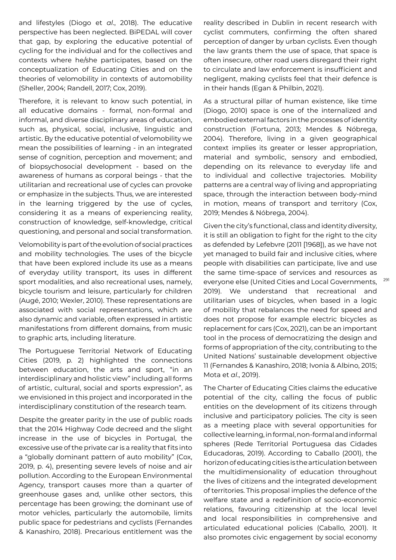and lifestyles (Diogo et *al*., 2018). The educative perspective has been neglected. BiPEDAL will cover that gap, by exploring the educative potential of cycling for the individual and for the collectives and contexts where he/she participates, based on the conceptualization of Educating Cities and on the theories of velomobility in contexts of automobility (Sheller, 2004; Randell, 2017; Cox, 2019).

Therefore, it is relevant to know such potential, in all educative domains - formal, non-formal and informal, and diverse disciplinary areas of education, such as, physical, social, inclusive, linguistic and artistic. By the educative potential of velomobility we mean the possibilities of learning - in an integrated sense of cognition, perception and movement; and of biopsychosocial development - based on the awareness of humans as corporal beings - that the utilitarian and recreational use of cycles can provoke or emphasize in the subjects. Thus, we are interested in the learning triggered by the use of cycles, considering it as a means of experiencing reality, construction of knowledge, self-knowledge, critical questioning, and personal and social transformation.

Velomobility is part of the evolution of social practices and mobility technologies. The uses of the bicycle that have been explored include its use as a means of everyday utility transport, its uses in different sport modalities, and also recreational uses, namely, bicycle tourism and leisure, particularly for children (Augé, 2010; Wexler, 2010). These representations are associated with social representations, which are also dynamic and variable, often expressed in artistic manifestations from different domains, from music to graphic arts, including literature.

The Portuguese Territorial Network of Educating Cities (2019, p. 2) highlighted the connections between education, the arts and sport, "in an interdisciplinary and holistic view" including all forms of artistic, cultural, social and sports expression", as we envisioned in this project and incorporated in the interdisciplinary constitution of the research team.

Despite the greater parity in the use of public roads that the 2014 Highway Code decreed and the slight increase in the use of bicycles in Portugal, the excessive use of the private car is a reality that fits into a "globally dominant pattern of auto mobility" (Cox, 2019, p. 4), presenting severe levels of noise and air pollution. According to the European Environmental Agency, transport causes more than a quarter of greenhouse gases and, unlike other sectors, this percentage has been growing; the dominant use of motor vehicles, particularly the automobile, limits public space for pedestrians and cyclists (Fernandes & Kanashiro, 2018). Precarious entitlement was the reality described in Dublin in recent research with cyclist commuters, confirming the often shared perception of danger by urban cyclists. Even though the law grants them the use of space, that space is often insecure, other road users disregard their right to circulate and law enforcement is insufficient and negligent, making cyclists feel that their defence is in their hands (Egan & Philbin, 2021).

As a structural pillar of human existence, like time (Diogo, 2010) space is one of the internalized and embodied external factors in the processes of identity construction (Fortuna, 2013; Mendes & Nóbrega, 2004). Therefore, living in a given geographical context implies its greater or lesser appropriation, material and symbolic, sensory and embodied, depending on its relevance to everyday life and to individual and collective trajectories. Mobility patterns are a central way of living and appropriating space, through the interaction between body-mind in motion, means of transport and territory (Cox, 2019; Mendes & Nóbrega, 2004).

Given the city's functional, class and identity diversity, it is still an obligation to fight for the right to the city as defended by Lefebvre (2011 [1968]), as we have not yet managed to build fair and inclusive cities, where people with disabilities can participate, live and use the same time-space of services and resources as everyone else (United Cities and Local Governments, 2019). We understand that recreational and utilitarian uses of bicycles, when based in a logic of mobility that rebalances the need for speed and does not propose for example electric bicycles as replacement for cars (Cox, 2021), can be an important tool in the process of democratizing the design and forms of appropriation of the city, contributing to the United Nations' sustainable development objective 11 (Fernandes & Kanashiro, 2018; Ivonia & Albino, 2015; Mota et *al*., 2019).

The Charter of Educating Cities claims the educative potential of the city, calling the focus of public entities on the development of its citizens through inclusive and participatory policies. The city is seen as a meeting place with several opportunities for collective learning, in formal, non-formal and informal spheres (Rede Territorial Portuguesa das Cidades Educadoras, 2019). According to Caballo (2001), the horizon of educating cities is the articulation between the multidimensionality of education throughout the lives of citizens and the integrated development of territories. This proposal implies the defence of the welfare state and a redefinition of socio-economic relations, favouring citizenship at the local level and local responsibilities in comprehensive and articulated educational policies (Caballo, 2001). It also promotes civic engagement by social economy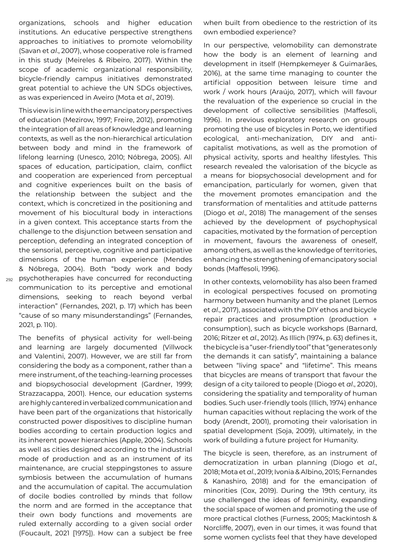organizations, schools and higher education institutions. An educative perspective strengthens approaches to initiatives to promote velomobility (Savan et *al*., 2007), whose cooperative role is framed in this study (Meireles & Ribeiro, 2017). Within the scope of academic organizational responsibility, bicycle-friendly campus initiatives demonstrated great potential to achieve the UN SDGs objectives, as was experienced in Aveiro (Mota et *al*., 2019).

292 psychotherapies have concurred for reconducting This view is in line with the emancipatory perspectives of education (Mezirow, 1997; Freire, 2012), promoting the integration of all areas of knowledge and learning contexts, as well as the non-hierarchical articulation between body and mind in the framework of lifelong learning (Unesco, 2010; Nóbrega, 2005). All spaces of education, participation, claim, conflict and cooperation are experienced from perceptual and cognitive experiences built on the basis of the relationship between the subject and the context, which is concretized in the positioning and movement of his biocultural body in interactions in a given context. This acceptance starts from the challenge to the disjunction between sensation and perception, defending an integrated conception of the sensorial, perceptive, cognitive and participative dimensions of the human experience (Mendes & Nóbrega, 2004). Both "body work and body communication to its perceptive and emotional dimensions, seeking to reach beyond verbal interaction" (Fernandes, 2021, p. 17) which has been "cause of so many misunderstandings" (Fernandes, 2021, p. 110).

The benefits of physical activity for well-being and learning are largely documented (Villwock and Valentini, 2007). However, we are still far from considering the body as a component, rather than a mere instrument, of the teaching-learning processes and biopsychosocial development (Gardner, 1999; Strazzacappa, 2001). Hence, our education systems are highly cantered in verbalized communication and have been part of the organizations that historically constructed power dispositives to discipline human bodies according to certain production logics and its inherent power hierarchies (Apple, 2004). Schools as well as cities designed according to the industrial mode of production and as an instrument of its maintenance, are crucial steppingstones to assure symbiosis between the accumulation of humans and the accumulation of capital. The accumulation of docile bodies controlled by minds that follow the norm and are formed in the acceptance that their own body functions and movements are ruled externally according to a given social order (Foucault, 2021 [1975]). How can a subject be free when built from obedience to the restriction of its own embodied experience?

In our perspective, velomobility can demonstrate how the body is an element of learning and development in itself (Hempkemeyer & Guimarães, 2016), at the same time managing to counter the artificial opposition between leisure time and work / work hours (Araújo, 2017), which will favour the revaluation of the experience so crucial in the development of collective sensibilities (Maffesoli, 1996). In previous exploratory research on groups promoting the use of bicycles in Porto, we identified ecological, anti-mechanization, DIY and anticapitalist motivations, as well as the promotion of physical activity, sports and healthy lifestyles. This research revealed the valorisation of the bicycle as a means for biopsychosocial development and for emancipation, particularly for women, given that the movement promotes emancipation and the transformation of mentalities and attitude patterns (Diogo et *al*., 2018) The management of the senses achieved by the development of psychophysical capacities, motivated by the formation of perception in movement, favours the awareness of oneself, among others, as well as the knowledge of territories, enhancing the strengthening of emancipatory social bonds (Maffesoli, 1996).

In other contexts, velomobility has also been framed in ecological perspectives focused on promoting harmony between humanity and the planet (Lemos et *al*., 2017), associated with the DIY ethos and bicycle repair practices and prosumption (production + consumption), such as bicycle workshops (Barnard, 2016; Ritzer et *al*., 2012). As Illich (1974, p. 63) defines it, the bicycle is a "user-friendly tool" that "generates only the demands it can satisfy", maintaining a balance between "living space" and "lifetime". This means that bicycles are means of transport that favour the design of a city tailored to people (Diogo et *al*., 2020), considering the spatiality and temporality of human bodies. Such user-friendly tools (Illich, 1974) enhance human capacities without replacing the work of the body (Arendt, 2001), promoting their valorisation in spatial development (Soja, 2009), ultimately, in the work of building a future project for Humanity.

The bicycle is seen, therefore, as an instrument of democratization in urban planning (Diogo et *al*., 2018; Mota et *al.*, 2019; Ivonia & Albino, 2015; Fernandes & Kanashiro, 2018) and for the emancipation of minorities (Cox, 2019). During the 19th century, its use challenged the ideas of femininity, expanding the social space of women and promoting the use of more practical clothes (Furness, 2005; Mackintosh & Norcliffe, 2007), even in our times, it was found that some women cyclists feel that they have developed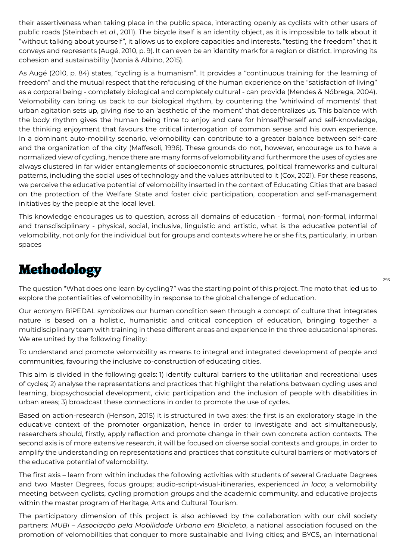their assertiveness when taking place in the public space, interacting openly as cyclists with other users of public roads (Steinbach et *al*., 2011). The bicycle itself is an identity object, as it is impossible to talk about it "without talking about yourself", it allows us to explore capacities and interests, "testing the freedom" that it conveys and represents (Augé, 2010, p. 9). It can even be an identity mark for a region or district, improving its cohesion and sustainability (Ivonia & Albino, 2015).

As Augé (2010, p. 84) states, "cycling is a humanism". It provides a "continuous training for the learning of freedom" and the mutual respect that the refocusing of the human experience on the "satisfaction of living" as a corporal being - completely biological and completely cultural - can provide (Mendes & Nóbrega, 2004). Velomobility can bring us back to our biological rhythm, by countering the 'whirlwind of moments' that urban agitation sets up, giving rise to an 'aesthetic of the moment' that decentralizes us. This balance with the body rhythm gives the human being time to enjoy and care for himself/herself and self-knowledge, the thinking enjoyment that favours the critical interrogation of common sense and his own experience. In a dominant auto-mobility scenario, velomobility can contribute to a greater balance between self-care and the organization of the city (Maffesoli, 1996). These grounds do not, however, encourage us to have a normalized view of cycling, hence there are many forms of velomobility and furthermore the uses of cycles are always clustered in far wider entanglements of socioeconomic structures, political frameworks and cultural patterns, including the social uses of technology and the values attributed to it (Cox, 2021). For these reasons, we perceive the educative potential of velomobility inserted in the context of Educating Cities that are based on the protection of the Welfare State and foster civic participation, cooperation and self-management initiatives by the people at the local level.

This knowledge encourages us to question, across all domains of education - formal, non-formal, informal and transdisciplinary - physical, social, inclusive, linguistic and artistic, what is the educative potential of velomobility, not only for the individual but for groups and contexts where he or she fits, particularly, in urban spaces

# Methodology

The question "What does one learn by cycling?" was the starting point of this project. The moto that led us to explore the potentialities of velomobility in response to the global challenge of education.

Our acronym BiPEDAL symbolizes our human condition seen through a concept of culture that integrates nature is based on a holistic, humanistic and critical conception of education, bringing together a multidisciplinary team with training in these different areas and experience in the three educational spheres. We are united by the following finality:

To understand and promote velomobility as means to integral and integrated development of people and communities, favouring the inclusive co-construction of educating cities.

This aim is divided in the following goals: 1) identify cultural barriers to the utilitarian and recreational uses of cycles; 2) analyse the representations and practices that highlight the relations between cycling uses and learning, biopsychosocial development, civic participation and the inclusion of people with disabilities in urban areas; 3) broadcast these connections in order to promote the use of cycles.

Based on action-research (Henson, 2015) it is structured in two axes: the first is an exploratory stage in the educative context of the promoter organization, hence in order to investigate and act simultaneously, researchers should, firstly, apply reflection and promote change in their own concrete action contexts. The second axis is of more extensive research, it will be focused on diverse social contexts and groups, in order to amplify the understanding on representations and practices that constitute cultural barriers or motivators of the educative potential of velomobility.

The first axis – learn from within includes the following activities with students of several Graduate Degrees and two Master Degrees, focus groups; audio-script-visual-itineraries, experienced *in loco*; a velomobility meeting between cyclists, cycling promotion groups and the academic community, and educative projects within the master program of Heritage, Arts and Cultural Tourism.

The participatory dimension of this project is also achieved by the collaboration with our civil society partners: *MUBi – Associação pela Mobilidade Urbana em Bicicl*et*a*, a national association focused on the promotion of velomobilities that conquer to more sustainable and living cities; and BYCS, an international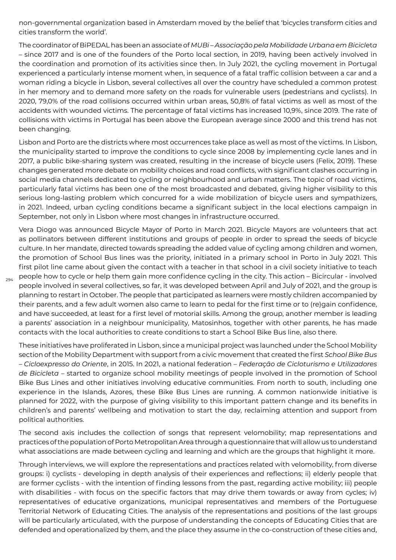non-governmental organization based in Amsterdam moved by the belief that 'bicycles transform cities and cities transform the world'.

The coordinator of BiPEDAL has been an associate of *MUBi – Associação pela Mobilidade Urbana em Bicicl*et*a* – since 2017 and is one of the founders of the Porto local section, in 2019, having been actively involved in the coordination and promotion of its activities since then. In July 2021, the cycling movement in Portugal experienced a particularly intense moment when, in sequence of a fatal traffic collision between a car and a woman riding a bicycle in Lisbon, several collectives all over the country have scheduled a common protest in her memory and to demand more safety on the roads for vulnerable users (pedestrians and cyclists). In 2020, 79,0% of the road collisions occurred within urban areas, 50,8% of fatal victims as well as most of the accidents with wounded victims. The percentage of fatal victims has increased 10,9%, since 2019. The rate of collisions with victims in Portugal has been above the European average since 2000 and this trend has not been changing.

Lisbon and Porto are the districts where most occurrences take place as well as most of the victims. In Lisbon, the municipality started to improve the conditions to cycle since 2008 by implementing cycle lanes and in 2017, a public bike-sharing system was created, resulting in the increase of bicycle users (Felix, 2019). These changes generated more debate on mobility choices and road conflicts, with significant clashes occurring in social media channels dedicated to cycling or neighbourhood and urban matters. The topic of road victims, particularly fatal victims has been one of the most broadcasted and debated, giving higher visibility to this serious long-lasting problem which concurred for a wide mobilization of bicycle users and sympathizers, in 2021. Indeed, urban cycling conditions became a significant subject in the local elections campaign in September, not only in Lisbon where most changes in infrastructure occurred.

Vera Diogo was announced Bicycle Mayor of Porto in March 2021. Bicycle Mayors are volunteers that act as pollinators between different institutions and groups of people in order to spread the seeds of bicycle culture. In her mandate, directed towards spreading the added value of cycling among children and women, the promotion of School Bus lines was the priority, initiated in a primary school in Porto in July 2021. This first pilot line came about given the contact with a teacher in that school in a civil society initiative to teach people how to cycle or help them gain more confidence cycling in the city. This action – Bicircular - involved people involved in several collectives, so far, it was developed between April and July of 2021, and the group is planning to restart in October. The people that participated as learners were mostly children accompanied by their parents, and a few adult women also came to learn to pedal for the first time or to (re)gain confidence, and have succeeded, at least for a first level of motorial skills. Among the group, another member is leading a parents' association in a neighbour municipality, Matosinhos, together with other parents, he has made contacts with the local authorities to create conditions to start a School Bike Bus line, also there.

294

These initiatives have proliferated in Lisbon, since a municipal project was launched under the School Mobility section of the Mobility Department with support from a civic movement that created the first *School Bike Bus* – *Cicloexpresso do Oriente*, in 2015. In 2021, a national federation – *Federação de Cicloturismo e Utilizadores de Bicicl*et*a* – started to organize school mobility meetings of people involved in the promotion of School Bike Bus Lines and other initiatives involving educative communities. From north to south, including one experience in the Islands, Azores, these Bike Bus Lines are running. A common nationwide initiative is planned for 2022, with the purpose of giving visibility to this important pattern change and its benefits in children's and parents' wellbeing and motivation to start the day, reclaiming attention and support from political authorities.

The second axis includes the collection of songs that represent velomobility; map representations and practices of the population of Porto Metropolitan Area through a questionnaire that will allow us to understand what associations are made between cycling and learning and which are the groups that highlight it more.

Through interviews, we will explore the representations and practices related with velomobility, from diverse groups: i) cyclists - developing in depth analysis of their experiences and reflections; ii) elderly people that are former cyclists - with the intention of finding lessons from the past, regarding active mobility; iii) people with disabilities - with focus on the specific factors that may drive them towards or away from cycles; iv) representatives of educative organizations, municipal representatives and members of the Portuguese Territorial Network of Educating Cities. The analysis of the representations and positions of the last groups will be particularly articulated, with the purpose of understanding the concepts of Educating Cities that are defended and operationalized by them, and the place they assume in the co-construction of these cities and,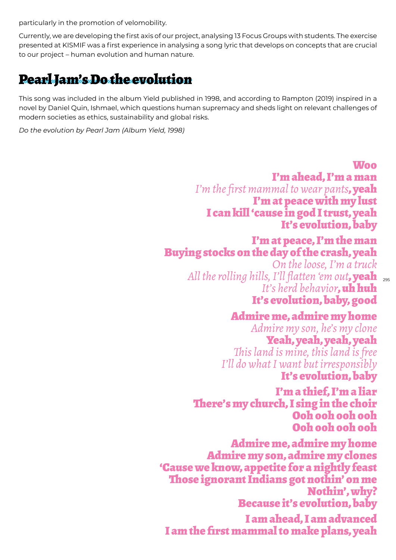particularly in the promotion of velomobility.

Currently, we are developing the first axis of our project, analysing 13 Focus Groups with students. The exercise presented at KISMIF was a first experience in analysing a song lyric that develops on concepts that are crucial to our project – human evolution and human nature.

# Pearl Jam's Do the evolution

This song was included in the album Yield published in 1998, and according to Rampton (2019) inspired in a novel by Daniel Quin, Ishmael, which questions human supremacy and sheds light on relevant challenges of modern societies as ethics, sustainability and global risks.

*Do the evolution by Pearl Jam (Album Yield, 1998)*

#### Woo

I'm ahead, I'm a man *I'm the first mammal to wear pants*, yeah I'm at peace with my lust I can kill 'cause in god I trust, yeah It's evolution, baby

#### I'm at peace, I'm the man Buying stocks on the day of the crash, yeah

All the rolling hills, I'll flatten 'em out**, yeah** <sub>295</sub> *On the loose, I'm a truck It's herd behavior*, uh huh

### It's evolution, baby, good

Admire me, admire my home *Admire my son, he's my clone* Yeah, yeah, yeah, yeah *This land is mine, this land is free I'll do what I want but irresponsibly* It's evolution, baby

#### I'm a thief, I'm a liar There's my church, I sing in the choir Ooh ooh ooh ooh Ooh ooh ooh ooh

Admire me, admire my home Admire my son, admire my clones 'Cause we know, appetite for a nightly feast Those ignorant Indians got nothin' on me Nothin', why? Because it's evolution, baby I am ahead, I am advanced

I am the first mammal to make plans, yeah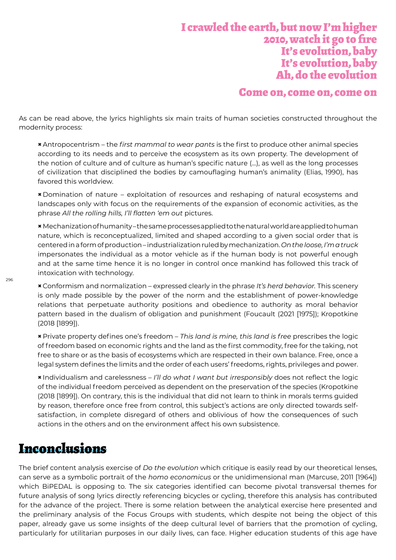#### I crawled the earth, but now I'm higher 2010, watch it go to fire It's evolution, baby It's evolution, baby Ah, do the evolution

#### Come on, come on, come on

As can be read above, the lyrics highlights six main traits of human societies constructed throughout the modernity process:

**×** Antropocentrism – the *first mammal to wear pants* is the first to produce other animal species according to its needs and to perceive the ecosystem as its own property. The development of the notion of culture and of culture as human's specific nature (…), as well as the long processes of civilization that disciplined the bodies by camouflaging human's animality (Elias, 1990), has favored this worldview.

**×** Domination of nature – exploitation of resources and reshaping of natural ecosystems and landscapes only with focus on the requirements of the expansion of economic activities, as the phrase *All the rolling hills, I'll flatten 'em out* pictures.

**×**Mechanization of humanity – the same processes applied to the natural world are applied to human nature, which is reconceptualized, limited and shaped according to a given social order that is centered in a form of production – industrialization ruled by mechanization. *On the loose, I'm a truck* impersonates the individual as a motor vehicle as if the human body is not powerful enough and at the same time hence it is no longer in control once mankind has followed this track of intoxication with technology.

**×** Conformism and normalization – expressed clearly in the phrase *It's herd behavior.* This scenery is only made possible by the power of the norm and the establishment of power-knowledge relations that perpetuate authority positions and obedience to authority as moral behavior pattern based in the dualism of obligation and punishment (Foucault (2021 [1975]); Kropotkine (2018 [1899]).

**×** Private property defines one's freedom – *This land is mine, this land is free* prescribes the logic of freedom based on economic rights and the land as the first commodity, free for the taking, not free to share or as the basis of ecosystems which are respected in their own balance. Free, once a legal system defines the limits and the order of each users' freedoms, rights, privileges and power.

**×** Individualism and carelessness – *I'll do what I want but irresponsibly* does not reflect the logic of the individual freedom perceived as dependent on the preservation of the species (Kropotkine (2018 [1899]). On contrary, this is the individual that did not learn to think in morals terms guided by reason, therefore once free from control, this subject's actions are only directed towards selfsatisfaction, in complete disregard of others and oblivious of how the consequences of such actions in the others and on the environment affect his own subsistence.

### Inconclusions

The brief content analysis exercise of *Do the evolution* which critique is easily read by our theoretical lenses, can serve as a symbolic portrait of the *homo economicus* or the unidimensional man (Marcuse, 2011 [1964]) which BiPEDAL is opposing to. The six categories identified can become pivotal transversal themes for future analysis of song lyrics directly referencing bicycles or cycling, therefore this analysis has contributed for the advance of the project. There is some relation between the analytical exercise here presented and the preliminary analysis of the Focus Groups with students, which despite not being the object of this paper, already gave us some insights of the deep cultural level of barriers that the promotion of cycling, particularly for utilitarian purposes in our daily lives, can face. Higher education students of this age have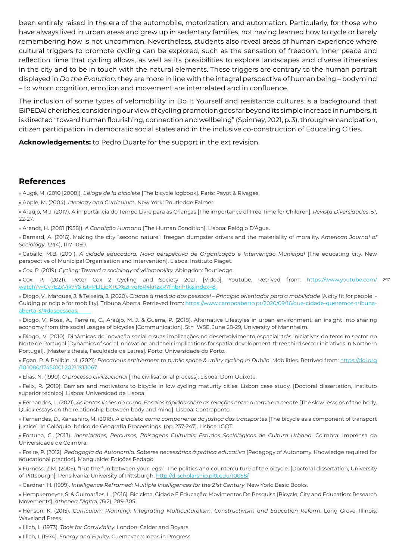been entirely raised in the era of the automobile, motorization, and automation. Particularly, for those who have always lived in urban areas and grew up in sedentary families, not having learned how to cycle or barely remembering how is not uncommon. Nevertheless, students also reveal areas of human experience where cultural triggers to promote cycling can be explored, such as the sensation of freedom, inner peace and reflection time that cycling allows, as well as its possibilities to explore landscapes and diverse itineraries in the city and to be in touch with the natural elements. These triggers are contrary to the human portrait displayed in *Do the Evolution,* they are more in line with the integral perspective of human being – bodymind – to whom cognition, emotion and movement are interrelated and in confluence.

The inclusion of some types of velomobility in Do It Yourself and resistance cultures is a background that BiPEDAl cherishes, considering our view of cycling promotion goes far beyond its simple increase in numbers, it is directed "toward human flourishing, connection and wellbeing" (Spinney, 2021, p. 3), through emancipation, citizen participation in democratic social states and in the inclusive co-construction of Educating Cities.

**Acknowledgements:** to Pedro Duarte for the support in the ext revision.

#### **References**

» Augé, M. (2010 [2008]). *L'éloge de la bicicl*et*e* [The bicycle logbook]. Paris: Payot & Rivages.

» Apple, M. (2004). *Ideology and Curriculum*. New York: Routledge Falmer.

» Araújo, M.J. (2017). A importância do Tempo Livre para as Crianças [The importance of Free Time for Children]. *Revista Diversidades*, *51*, 22-27.

» Arendt, H. (2001 [1958]). *A Condição Humana* [The Human Condition]. Lisboa: Relógio D'Água.

» Barnard, A. (2016). Making the city "second nature": freegan dumpster drivers and the materiality of morality. *American Journal of Sociology*, *121*(4), 1117-1050.

» Caballo, M.B. (2001). *A cidade educadora. Nova perspectiva de Organização e Intervenção Municipal* [The educating city. New perspective of Municipal Organisation and Intervention]. Lisboa: Instituto Piaget.

» Cox, P. (2019). *Cycling: Toward a sociology of vélomobility.* Abingdon: Routledge.

» Cox, P. (2021). Peter Cox 2 Cycling and Society 2021. [Video]. Youtube. Retrived from: <u>https://www.youtube.com/</u> 297 watch?v=Cv7E2xVjk7Y&list=PLILjpXTCX6zFvo16R4krIzxR7fnbrihtk&index=8

» Diogo, V., Marques, J. & Teixeira, J. (2020). *Cidade à medida das pessoas! – Princípio orientador para a mobilidade* [A city fit for people! - Guiding principle for mobility]. Tribuna Aberta. Retrieved from: https://www.campoaberto.pt/2020/09/16/que-cidade-queremos-tribunaaberta-3/#daspessoas.

» Diogo, V., Rosa, A., Ferreira, C., Araújo, M. J. & Guerra, P. (2018). Alternative Lifestyles in urban environment: an insight into sharing economy from the social usages of bicycles [Communication]. 5th IWSE, June 28-29, University of Mannheim.

» Diogo, V. (2010). Dinâmicas de inovação social e suas implicações no desenvolvimento espacial: três iniciativas do terceiro sector no Norte de Portugal [Dynamics of social innovation and their implications for spatial development: three third sector initiatives in Northern Portugal]. [Master's thesis, Faculdade de Letras]. Porto: Universidade do Porto.

» Egan, R. & Philbin, M. (2021): *Precarious entitlement to public space & utility cycling in Dublin*. Mobilities. Retrived from: https://doi.org /10.1080/17450101.2021.1913067

» Elias, N. (1990). *O processo civilizacional* [The civilisational process]. Lisboa: Dom Quixote.

» Felix, R. (2019). Barriers and motivators to bicycle in low cycling maturity cities: Lisbon case study. [Doctoral dissertation, Instituto superior técnico]. Lisboa: Universidad de Lisboa.

» Fernandes, L. (2021). As lentas lições do corpo. Ensaios rápidos sobre as relações entre o corpo e a mente [The slow lessons of the body. Quick essays on the relationship between body and mind]. Lisboa: Contraponto.

» Fernandes, D., Kanashiro, M. (2018). *A bicicl*et*a como componente da justiça dos transportes* [The bicycle as a component of transport justice]. In Colóquio Ibérico de Geografia Proceedings. (pp. 237-247). Lisboa: IGOT.

» Fortuna, C. (2013). *Identidades, Percursos, Paisagens Culturais: Estudos Sociológicos de Cultura Urbana*. Coimbra: Imprensa da Universidade de Coimbra.

» Freire, P. (2012). *Pedagogia da Autonomia. Saberes necessários à prática educativa* [Pedagogy of Autonomy. Knowledge required for educational practice]. Mangualde: Edições Pedago.

» Furness, Z.M. (2005). "Put the fun between your legs!": The politics and counterculture of the bicycle. [Doctoral dissertation, University of Pittsburgh]. Pensilvania: University of Pittsburgh. http://d-scholarship.pitt.edu/10058/

» Gardner, H. (1999). *Intelligence Reframed: Multiple Intelligences for the 21st Century*. New York: Basic Books.

» Hempkemeyer, S. & Guimarães, L. (2016). Bicicleta, Cidade E Educação: Movimentos De Pesquisa [Bicycle, City and Education: Research Movements]. *Athenea Digital*, *16*(2), 289-305.

» Henson, K. (2015). *Curriculum Planning: Integrating Multiculturalism, Constructivism and Education Reform*. Long Grove, Illinois: Waveland Press.

» Illich, I., (1973). *Tools for Conviviality*. London: Calder and Boyars.

» Illich, I. (1974). *Energy and Equity*. Cuernavaca: Ideas in Progress